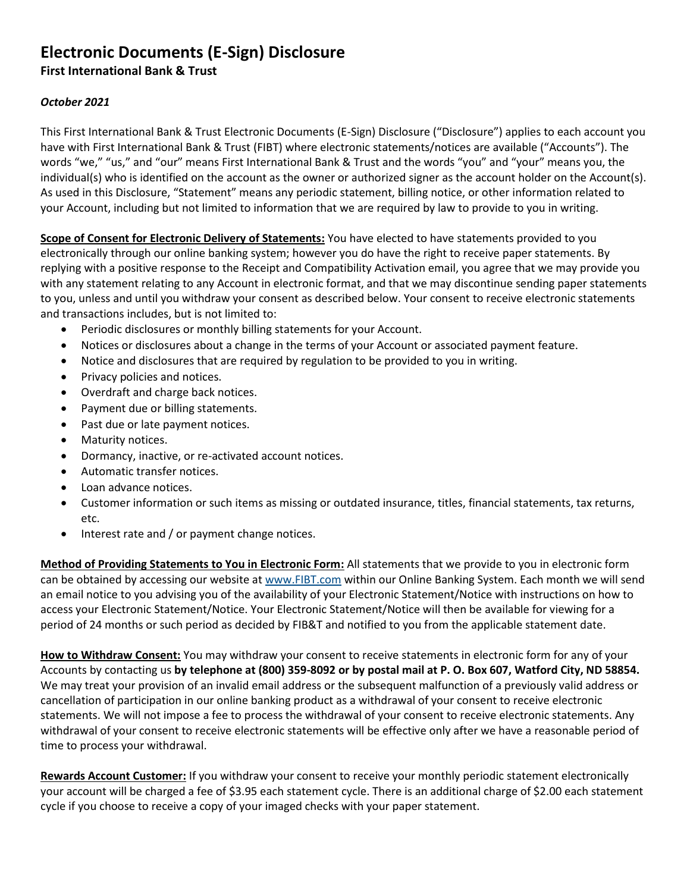## **Electronic Documents (E-Sign) Disclosure**

**First International Bank & Trust**

## *October 2021*

This First International Bank & Trust Electronic Documents (E-Sign) Disclosure ("Disclosure") applies to each account you have with First International Bank & Trust (FIBT) where electronic statements/notices are available ("Accounts"). The words "we," "us," and "our" means First International Bank & Trust and the words "you" and "your" means you, the individual(s) who is identified on the account as the owner or authorized signer as the account holder on the Account(s). As used in this Disclosure, "Statement" means any periodic statement, billing notice, or other information related to your Account, including but not limited to information that we are required by law to provide to you in writing.

**Scope of Consent for Electronic Delivery of Statements:** You have elected to have statements provided to you electronically through our online banking system; however you do have the right to receive paper statements. By replying with a positive response to the Receipt and Compatibility Activation email, you agree that we may provide you with any statement relating to any Account in electronic format, and that we may discontinue sending paper statements to you, unless and until you withdraw your consent as described below. Your consent to receive electronic statements and transactions includes, but is not limited to:

- Periodic disclosures or monthly billing statements for your Account.
- Notices or disclosures about a change in the terms of your Account or associated payment feature.
- Notice and disclosures that are required by regulation to be provided to you in writing.
- Privacy policies and notices.
- Overdraft and charge back notices.
- Payment due or billing statements.
- Past due or late payment notices.
- Maturity notices.
- Dormancy, inactive, or re-activated account notices.
- Automatic transfer notices.
- Loan advance notices.
- Customer information or such items as missing or outdated insurance, titles, financial statements, tax returns, etc.
- Interest rate and / or payment change notices.

**Method of Providing Statements to You in Electronic Form:** All statements that we provide to you in electronic form can be obtained by accessing our website at [www.FIBT.com](https://fibt.com/) within our Online Banking System. Each month we will send an email notice to you advising you of the availability of your Electronic Statement/Notice with instructions on how to access your Electronic Statement/Notice. Your Electronic Statement/Notice will then be available for viewing for a period of 24 months or such period as decided by FIB&T and notified to you from the applicable statement date.

**How to Withdraw Consent:** You may withdraw your consent to receive statements in electronic form for any of your Accounts by contacting us **by telephone at (800) 359-8092 or by postal mail at P. O. Box 607, Watford City, ND 58854.**  We may treat your provision of an invalid email address or the subsequent malfunction of a previously valid address or cancellation of participation in our online banking product as a withdrawal of your consent to receive electronic statements. We will not impose a fee to process the withdrawal of your consent to receive electronic statements. Any withdrawal of your consent to receive electronic statements will be effective only after we have a reasonable period of time to process your withdrawal.

**Rewards Account Customer:** If you withdraw your consent to receive your monthly periodic statement electronically your account will be charged a fee of \$3.95 each statement cycle. There is an additional charge of \$2.00 each statement cycle if you choose to receive a copy of your imaged checks with your paper statement.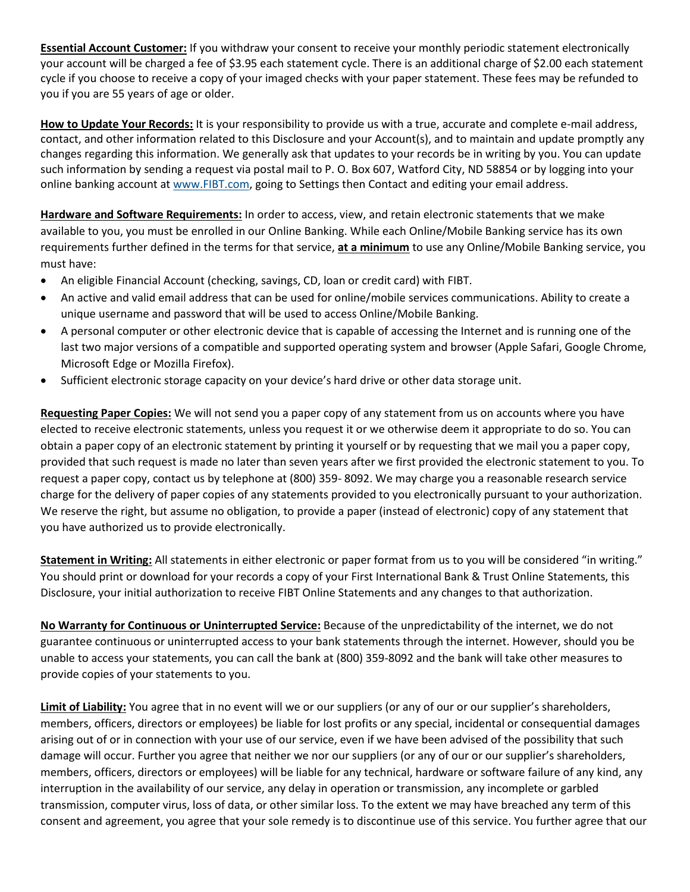**Essential Account Customer:** If you withdraw your consent to receive your monthly periodic statement electronically your account will be charged a fee of \$3.95 each statement cycle. There is an additional charge of \$2.00 each statement cycle if you choose to receive a copy of your imaged checks with your paper statement. These fees may be refunded to you if you are 55 years of age or older.

**How to Update Your Records:** It is your responsibility to provide us with a true, accurate and complete e-mail address, contact, and other information related to this Disclosure and your Account(s), and to maintain and update promptly any changes regarding this information. We generally ask that updates to your records be in writing by you. You can update such information by sending a request via postal mail to P. O. Box 607, Watford City, ND 58854 or by logging into your online banking account a[t www.FIBT.com,](http://www.fibt.com/) going to Settings then Contact and editing your email address.

**Hardware and Software Requirements:** In order to access, view, and retain electronic statements that we make available to you, you must be enrolled in our Online Banking. While each Online/Mobile Banking service has its own requirements further defined in the terms for that service, **at a minimum** to use any Online/Mobile Banking service, you must have:

- An eligible Financial Account (checking, savings, CD, loan or credit card) with FIBT.
- An active and valid email address that can be used for online/mobile services communications. Ability to create a unique username and password that will be used to access Online/Mobile Banking.
- A personal computer or other electronic device that is capable of accessing the Internet and is running one of the last two major versions of a compatible and supported operating system and browser (Apple Safari, Google Chrome, Microsoft Edge or Mozilla Firefox).
- Sufficient electronic storage capacity on your device's hard drive or other data storage unit.

**Requesting Paper Copies:** We will not send you a paper copy of any statement from us on accounts where you have elected to receive electronic statements, unless you request it or we otherwise deem it appropriate to do so. You can obtain a paper copy of an electronic statement by printing it yourself or by requesting that we mail you a paper copy, provided that such request is made no later than seven years after we first provided the electronic statement to you. To request a paper copy, contact us by telephone at (800) 359- 8092. We may charge you a reasonable research service charge for the delivery of paper copies of any statements provided to you electronically pursuant to your authorization. We reserve the right, but assume no obligation, to provide a paper (instead of electronic) copy of any statement that you have authorized us to provide electronically.

**Statement in Writing:** All statements in either electronic or paper format from us to you will be considered "in writing." You should print or download for your records a copy of your First International Bank & Trust Online Statements, this Disclosure, your initial authorization to receive FIBT Online Statements and any changes to that authorization.

**No Warranty for Continuous or Uninterrupted Service:** Because of the unpredictability of the internet, we do not guarantee continuous or uninterrupted access to your bank statements through the internet. However, should you be unable to access your statements, you can call the bank at (800) 359-8092 and the bank will take other measures to provide copies of your statements to you.

**Limit of Liability:** You agree that in no event will we or our suppliers (or any of our or our supplier's shareholders, members, officers, directors or employees) be liable for lost profits or any special, incidental or consequential damages arising out of or in connection with your use of our service, even if we have been advised of the possibility that such damage will occur. Further you agree that neither we nor our suppliers (or any of our or our supplier's shareholders, members, officers, directors or employees) will be liable for any technical, hardware or software failure of any kind, any interruption in the availability of our service, any delay in operation or transmission, any incomplete or garbled transmission, computer virus, loss of data, or other similar loss. To the extent we may have breached any term of this consent and agreement, you agree that your sole remedy is to discontinue use of this service. You further agree that our